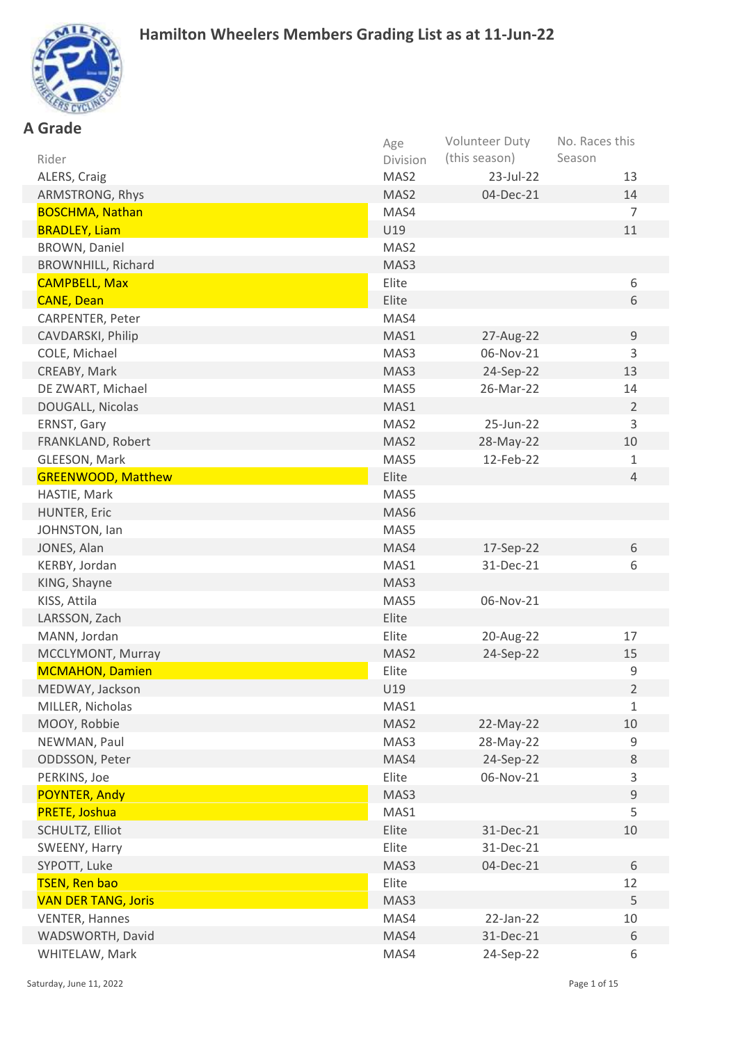

| Age<br>(this season)<br>Season<br>Rider<br>Division<br>23-Jul-22<br>13<br>ALERS, Craig<br>MAS2<br>04-Dec-21<br>14<br>ARMSTRONG, Rhys<br>MAS2<br>$\overline{7}$<br><b>BOSCHMA, Nathan</b><br>MAS4<br>U19<br>11<br><b>BRADLEY, Liam</b><br>MAS2<br>BROWN, Daniel<br><b>BROWNHILL, Richard</b><br>MAS3<br><b>CAMPBELL, Max</b><br>Elite<br>6<br><b>CANE, Dean</b><br>Elite<br>6<br>CARPENTER, Peter<br>MAS4<br>27-Aug-22<br>CAVDARSKI, Philip<br>MAS1<br>9<br>3<br>COLE, Michael<br>MAS3<br>06-Nov-21<br>CREABY, Mark<br>24-Sep-22<br>13<br>MAS3<br>DE ZWART, Michael<br>MAS5<br>26-Mar-22<br>14<br>DOUGALL, Nicolas<br>$\overline{2}$<br>MAS1<br>ERNST, Gary<br>MAS2<br>25-Jun-22<br>3<br>28-May-22<br>10<br>FRANKLAND, Robert<br>MAS2<br>12-Feb-22<br>GLEESON, Mark<br>MAS5<br>$\mathbf{1}$<br><b>GREENWOOD, Matthew</b><br>Elite<br>$\overline{4}$<br>HASTIE, Mark<br>MAS5<br>HUNTER, Eric<br>MAS6<br>JOHNSTON, lan<br>MAS5<br>JONES, Alan<br>17-Sep-22<br>6<br>MAS4<br>KERBY, Jordan<br>MAS1<br>31-Dec-21<br>6<br>KING, Shayne<br>MAS3<br>KISS, Attila<br>MAS5<br>06-Nov-21<br>LARSSON, Zach<br>Elite<br>MANN, Jordan<br>Elite<br>20-Aug-22<br>17<br>MCCLYMONT, Murray<br>24-Sep-22<br>15<br>MAS2<br>$\mathsf 9$<br><b>MCMAHON, Damien</b><br>Elite<br>$\overline{2}$<br>MEDWAY, Jackson<br>U19<br>MILLER, Nicholas<br>MAS1<br>$\mathbf{1}$<br>MOOY, Robbie<br>MAS2<br>22-May-22<br>10<br>NEWMAN, Paul<br>MAS3<br>28-May-22<br>9<br>24-Sep-22<br>ODDSSON, Peter<br>MAS4<br>8<br>PERKINS, Joe<br>Elite<br>06-Nov-21<br>3<br>POYNTER, Andy<br>9<br>MAS3<br>5<br>MAS1<br><b>PRETE, Joshua</b><br>31-Dec-21<br>SCHULTZ, Elliot<br>Elite<br>10<br>Elite<br>SWEENY, Harry<br>31-Dec-21<br>SYPOTT, Luke<br>MAS3<br>04-Dec-21<br>6<br><b>TSEN, Ren bao</b><br>12<br>Elite | <b>A</b> Grade             |      |                |                |
|--------------------------------------------------------------------------------------------------------------------------------------------------------------------------------------------------------------------------------------------------------------------------------------------------------------------------------------------------------------------------------------------------------------------------------------------------------------------------------------------------------------------------------------------------------------------------------------------------------------------------------------------------------------------------------------------------------------------------------------------------------------------------------------------------------------------------------------------------------------------------------------------------------------------------------------------------------------------------------------------------------------------------------------------------------------------------------------------------------------------------------------------------------------------------------------------------------------------------------------------------------------------------------------------------------------------------------------------------------------------------------------------------------------------------------------------------------------------------------------------------------------------------------------------------------------------------------------------------------------------------------------------------------------------------------------------------------------------------------------------------------------------|----------------------------|------|----------------|----------------|
|                                                                                                                                                                                                                                                                                                                                                                                                                                                                                                                                                                                                                                                                                                                                                                                                                                                                                                                                                                                                                                                                                                                                                                                                                                                                                                                                                                                                                                                                                                                                                                                                                                                                                                                                                                    |                            |      | Volunteer Duty | No. Races this |
|                                                                                                                                                                                                                                                                                                                                                                                                                                                                                                                                                                                                                                                                                                                                                                                                                                                                                                                                                                                                                                                                                                                                                                                                                                                                                                                                                                                                                                                                                                                                                                                                                                                                                                                                                                    |                            |      |                |                |
|                                                                                                                                                                                                                                                                                                                                                                                                                                                                                                                                                                                                                                                                                                                                                                                                                                                                                                                                                                                                                                                                                                                                                                                                                                                                                                                                                                                                                                                                                                                                                                                                                                                                                                                                                                    |                            |      |                |                |
|                                                                                                                                                                                                                                                                                                                                                                                                                                                                                                                                                                                                                                                                                                                                                                                                                                                                                                                                                                                                                                                                                                                                                                                                                                                                                                                                                                                                                                                                                                                                                                                                                                                                                                                                                                    |                            |      |                |                |
|                                                                                                                                                                                                                                                                                                                                                                                                                                                                                                                                                                                                                                                                                                                                                                                                                                                                                                                                                                                                                                                                                                                                                                                                                                                                                                                                                                                                                                                                                                                                                                                                                                                                                                                                                                    |                            |      |                |                |
|                                                                                                                                                                                                                                                                                                                                                                                                                                                                                                                                                                                                                                                                                                                                                                                                                                                                                                                                                                                                                                                                                                                                                                                                                                                                                                                                                                                                                                                                                                                                                                                                                                                                                                                                                                    |                            |      |                |                |
|                                                                                                                                                                                                                                                                                                                                                                                                                                                                                                                                                                                                                                                                                                                                                                                                                                                                                                                                                                                                                                                                                                                                                                                                                                                                                                                                                                                                                                                                                                                                                                                                                                                                                                                                                                    |                            |      |                |                |
|                                                                                                                                                                                                                                                                                                                                                                                                                                                                                                                                                                                                                                                                                                                                                                                                                                                                                                                                                                                                                                                                                                                                                                                                                                                                                                                                                                                                                                                                                                                                                                                                                                                                                                                                                                    |                            |      |                |                |
|                                                                                                                                                                                                                                                                                                                                                                                                                                                                                                                                                                                                                                                                                                                                                                                                                                                                                                                                                                                                                                                                                                                                                                                                                                                                                                                                                                                                                                                                                                                                                                                                                                                                                                                                                                    |                            |      |                |                |
|                                                                                                                                                                                                                                                                                                                                                                                                                                                                                                                                                                                                                                                                                                                                                                                                                                                                                                                                                                                                                                                                                                                                                                                                                                                                                                                                                                                                                                                                                                                                                                                                                                                                                                                                                                    |                            |      |                |                |
|                                                                                                                                                                                                                                                                                                                                                                                                                                                                                                                                                                                                                                                                                                                                                                                                                                                                                                                                                                                                                                                                                                                                                                                                                                                                                                                                                                                                                                                                                                                                                                                                                                                                                                                                                                    |                            |      |                |                |
|                                                                                                                                                                                                                                                                                                                                                                                                                                                                                                                                                                                                                                                                                                                                                                                                                                                                                                                                                                                                                                                                                                                                                                                                                                                                                                                                                                                                                                                                                                                                                                                                                                                                                                                                                                    |                            |      |                |                |
|                                                                                                                                                                                                                                                                                                                                                                                                                                                                                                                                                                                                                                                                                                                                                                                                                                                                                                                                                                                                                                                                                                                                                                                                                                                                                                                                                                                                                                                                                                                                                                                                                                                                                                                                                                    |                            |      |                |                |
|                                                                                                                                                                                                                                                                                                                                                                                                                                                                                                                                                                                                                                                                                                                                                                                                                                                                                                                                                                                                                                                                                                                                                                                                                                                                                                                                                                                                                                                                                                                                                                                                                                                                                                                                                                    |                            |      |                |                |
|                                                                                                                                                                                                                                                                                                                                                                                                                                                                                                                                                                                                                                                                                                                                                                                                                                                                                                                                                                                                                                                                                                                                                                                                                                                                                                                                                                                                                                                                                                                                                                                                                                                                                                                                                                    |                            |      |                |                |
|                                                                                                                                                                                                                                                                                                                                                                                                                                                                                                                                                                                                                                                                                                                                                                                                                                                                                                                                                                                                                                                                                                                                                                                                                                                                                                                                                                                                                                                                                                                                                                                                                                                                                                                                                                    |                            |      |                |                |
|                                                                                                                                                                                                                                                                                                                                                                                                                                                                                                                                                                                                                                                                                                                                                                                                                                                                                                                                                                                                                                                                                                                                                                                                                                                                                                                                                                                                                                                                                                                                                                                                                                                                                                                                                                    |                            |      |                |                |
|                                                                                                                                                                                                                                                                                                                                                                                                                                                                                                                                                                                                                                                                                                                                                                                                                                                                                                                                                                                                                                                                                                                                                                                                                                                                                                                                                                                                                                                                                                                                                                                                                                                                                                                                                                    |                            |      |                |                |
|                                                                                                                                                                                                                                                                                                                                                                                                                                                                                                                                                                                                                                                                                                                                                                                                                                                                                                                                                                                                                                                                                                                                                                                                                                                                                                                                                                                                                                                                                                                                                                                                                                                                                                                                                                    |                            |      |                |                |
|                                                                                                                                                                                                                                                                                                                                                                                                                                                                                                                                                                                                                                                                                                                                                                                                                                                                                                                                                                                                                                                                                                                                                                                                                                                                                                                                                                                                                                                                                                                                                                                                                                                                                                                                                                    |                            |      |                |                |
|                                                                                                                                                                                                                                                                                                                                                                                                                                                                                                                                                                                                                                                                                                                                                                                                                                                                                                                                                                                                                                                                                                                                                                                                                                                                                                                                                                                                                                                                                                                                                                                                                                                                                                                                                                    |                            |      |                |                |
|                                                                                                                                                                                                                                                                                                                                                                                                                                                                                                                                                                                                                                                                                                                                                                                                                                                                                                                                                                                                                                                                                                                                                                                                                                                                                                                                                                                                                                                                                                                                                                                                                                                                                                                                                                    |                            |      |                |                |
|                                                                                                                                                                                                                                                                                                                                                                                                                                                                                                                                                                                                                                                                                                                                                                                                                                                                                                                                                                                                                                                                                                                                                                                                                                                                                                                                                                                                                                                                                                                                                                                                                                                                                                                                                                    |                            |      |                |                |
|                                                                                                                                                                                                                                                                                                                                                                                                                                                                                                                                                                                                                                                                                                                                                                                                                                                                                                                                                                                                                                                                                                                                                                                                                                                                                                                                                                                                                                                                                                                                                                                                                                                                                                                                                                    |                            |      |                |                |
|                                                                                                                                                                                                                                                                                                                                                                                                                                                                                                                                                                                                                                                                                                                                                                                                                                                                                                                                                                                                                                                                                                                                                                                                                                                                                                                                                                                                                                                                                                                                                                                                                                                                                                                                                                    |                            |      |                |                |
|                                                                                                                                                                                                                                                                                                                                                                                                                                                                                                                                                                                                                                                                                                                                                                                                                                                                                                                                                                                                                                                                                                                                                                                                                                                                                                                                                                                                                                                                                                                                                                                                                                                                                                                                                                    |                            |      |                |                |
|                                                                                                                                                                                                                                                                                                                                                                                                                                                                                                                                                                                                                                                                                                                                                                                                                                                                                                                                                                                                                                                                                                                                                                                                                                                                                                                                                                                                                                                                                                                                                                                                                                                                                                                                                                    |                            |      |                |                |
|                                                                                                                                                                                                                                                                                                                                                                                                                                                                                                                                                                                                                                                                                                                                                                                                                                                                                                                                                                                                                                                                                                                                                                                                                                                                                                                                                                                                                                                                                                                                                                                                                                                                                                                                                                    |                            |      |                |                |
|                                                                                                                                                                                                                                                                                                                                                                                                                                                                                                                                                                                                                                                                                                                                                                                                                                                                                                                                                                                                                                                                                                                                                                                                                                                                                                                                                                                                                                                                                                                                                                                                                                                                                                                                                                    |                            |      |                |                |
|                                                                                                                                                                                                                                                                                                                                                                                                                                                                                                                                                                                                                                                                                                                                                                                                                                                                                                                                                                                                                                                                                                                                                                                                                                                                                                                                                                                                                                                                                                                                                                                                                                                                                                                                                                    |                            |      |                |                |
|                                                                                                                                                                                                                                                                                                                                                                                                                                                                                                                                                                                                                                                                                                                                                                                                                                                                                                                                                                                                                                                                                                                                                                                                                                                                                                                                                                                                                                                                                                                                                                                                                                                                                                                                                                    |                            |      |                |                |
|                                                                                                                                                                                                                                                                                                                                                                                                                                                                                                                                                                                                                                                                                                                                                                                                                                                                                                                                                                                                                                                                                                                                                                                                                                                                                                                                                                                                                                                                                                                                                                                                                                                                                                                                                                    |                            |      |                |                |
|                                                                                                                                                                                                                                                                                                                                                                                                                                                                                                                                                                                                                                                                                                                                                                                                                                                                                                                                                                                                                                                                                                                                                                                                                                                                                                                                                                                                                                                                                                                                                                                                                                                                                                                                                                    |                            |      |                |                |
|                                                                                                                                                                                                                                                                                                                                                                                                                                                                                                                                                                                                                                                                                                                                                                                                                                                                                                                                                                                                                                                                                                                                                                                                                                                                                                                                                                                                                                                                                                                                                                                                                                                                                                                                                                    |                            |      |                |                |
|                                                                                                                                                                                                                                                                                                                                                                                                                                                                                                                                                                                                                                                                                                                                                                                                                                                                                                                                                                                                                                                                                                                                                                                                                                                                                                                                                                                                                                                                                                                                                                                                                                                                                                                                                                    |                            |      |                |                |
|                                                                                                                                                                                                                                                                                                                                                                                                                                                                                                                                                                                                                                                                                                                                                                                                                                                                                                                                                                                                                                                                                                                                                                                                                                                                                                                                                                                                                                                                                                                                                                                                                                                                                                                                                                    |                            |      |                |                |
|                                                                                                                                                                                                                                                                                                                                                                                                                                                                                                                                                                                                                                                                                                                                                                                                                                                                                                                                                                                                                                                                                                                                                                                                                                                                                                                                                                                                                                                                                                                                                                                                                                                                                                                                                                    |                            |      |                |                |
|                                                                                                                                                                                                                                                                                                                                                                                                                                                                                                                                                                                                                                                                                                                                                                                                                                                                                                                                                                                                                                                                                                                                                                                                                                                                                                                                                                                                                                                                                                                                                                                                                                                                                                                                                                    |                            |      |                |                |
|                                                                                                                                                                                                                                                                                                                                                                                                                                                                                                                                                                                                                                                                                                                                                                                                                                                                                                                                                                                                                                                                                                                                                                                                                                                                                                                                                                                                                                                                                                                                                                                                                                                                                                                                                                    |                            |      |                |                |
|                                                                                                                                                                                                                                                                                                                                                                                                                                                                                                                                                                                                                                                                                                                                                                                                                                                                                                                                                                                                                                                                                                                                                                                                                                                                                                                                                                                                                                                                                                                                                                                                                                                                                                                                                                    |                            |      |                |                |
|                                                                                                                                                                                                                                                                                                                                                                                                                                                                                                                                                                                                                                                                                                                                                                                                                                                                                                                                                                                                                                                                                                                                                                                                                                                                                                                                                                                                                                                                                                                                                                                                                                                                                                                                                                    |                            |      |                |                |
|                                                                                                                                                                                                                                                                                                                                                                                                                                                                                                                                                                                                                                                                                                                                                                                                                                                                                                                                                                                                                                                                                                                                                                                                                                                                                                                                                                                                                                                                                                                                                                                                                                                                                                                                                                    |                            |      |                |                |
|                                                                                                                                                                                                                                                                                                                                                                                                                                                                                                                                                                                                                                                                                                                                                                                                                                                                                                                                                                                                                                                                                                                                                                                                                                                                                                                                                                                                                                                                                                                                                                                                                                                                                                                                                                    |                            |      |                |                |
|                                                                                                                                                                                                                                                                                                                                                                                                                                                                                                                                                                                                                                                                                                                                                                                                                                                                                                                                                                                                                                                                                                                                                                                                                                                                                                                                                                                                                                                                                                                                                                                                                                                                                                                                                                    | <b>VAN DER TANG, Joris</b> | MAS3 |                | 5              |
| MAS4<br>22-Jan-22<br><b>VENTER, Hannes</b><br>10                                                                                                                                                                                                                                                                                                                                                                                                                                                                                                                                                                                                                                                                                                                                                                                                                                                                                                                                                                                                                                                                                                                                                                                                                                                                                                                                                                                                                                                                                                                                                                                                                                                                                                                   |                            |      |                |                |
| WADSWORTH, David<br>MAS4<br>31-Dec-21<br>6                                                                                                                                                                                                                                                                                                                                                                                                                                                                                                                                                                                                                                                                                                                                                                                                                                                                                                                                                                                                                                                                                                                                                                                                                                                                                                                                                                                                                                                                                                                                                                                                                                                                                                                         |                            |      |                |                |
| WHITELAW, Mark<br>MAS4<br>24-Sep-22<br>6                                                                                                                                                                                                                                                                                                                                                                                                                                                                                                                                                                                                                                                                                                                                                                                                                                                                                                                                                                                                                                                                                                                                                                                                                                                                                                                                                                                                                                                                                                                                                                                                                                                                                                                           |                            |      |                |                |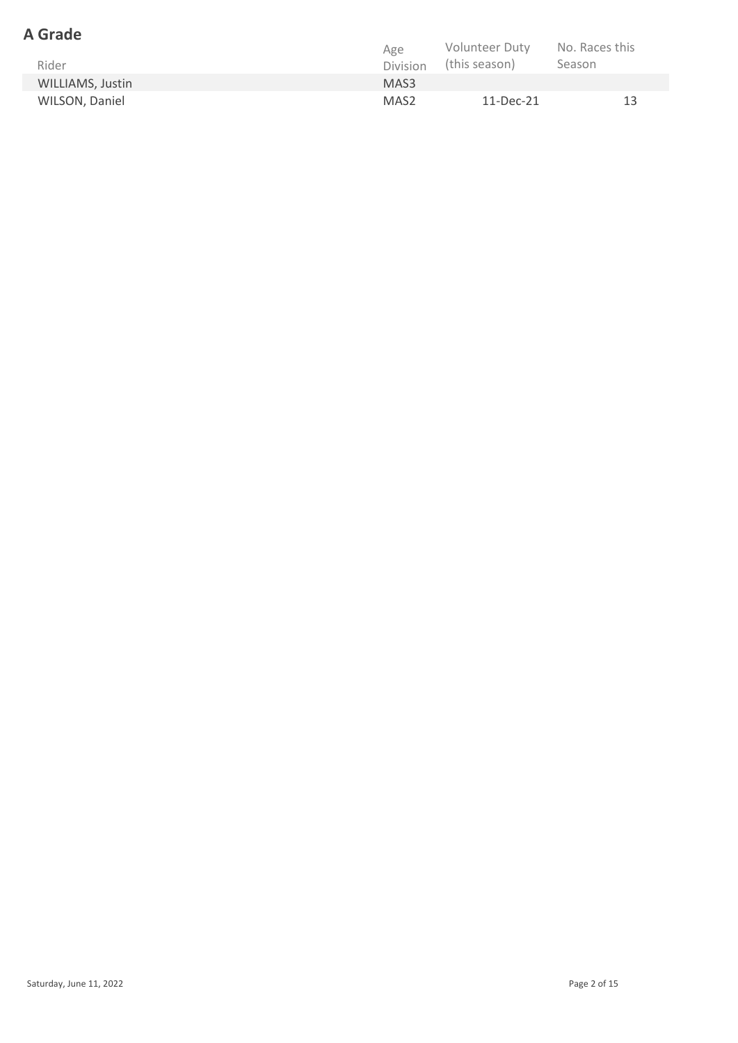### **A Grade**

|                  | Age              | <b>Volunteer Duty</b> | No. Races this |
|------------------|------------------|-----------------------|----------------|
| Rider            | <b>Division</b>  | (this season)         | Season         |
| WILLIAMS, Justin | MAS <sub>3</sub> |                       |                |
| WILSON, Daniel   | MAS <sub>2</sub> | 11-Dec-21             | 13             |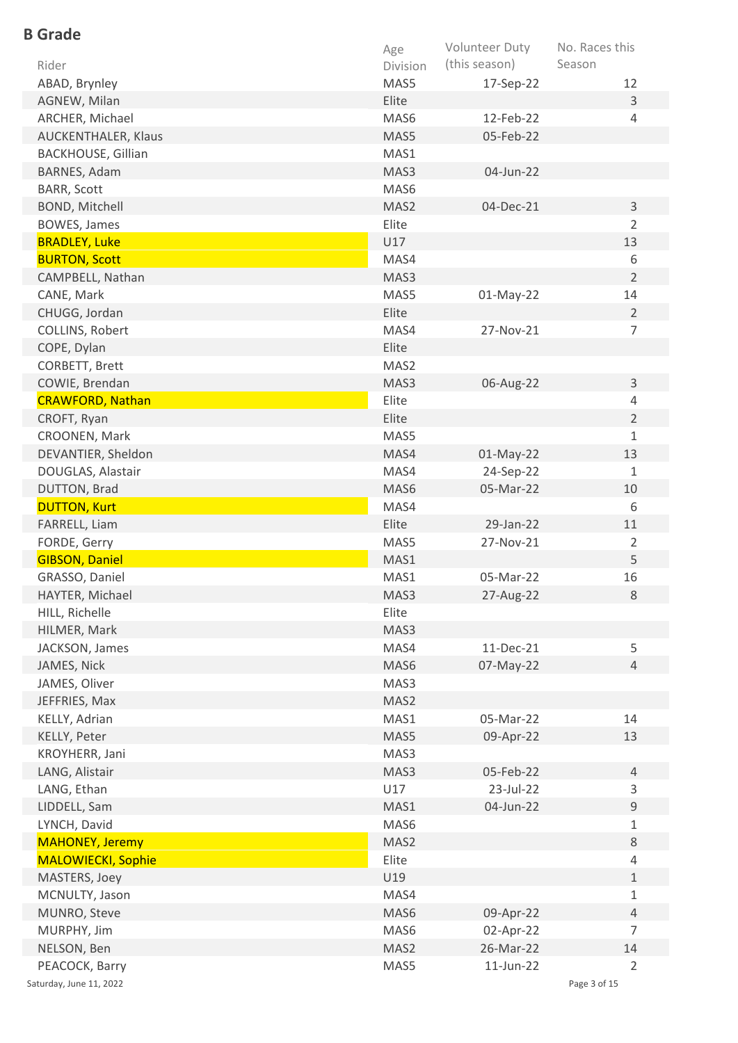| <b>B</b> Grade            |          |                |                |
|---------------------------|----------|----------------|----------------|
|                           | Age      | Volunteer Duty | No. Races this |
| Rider                     | Division | (this season)  | Season         |
| ABAD, Brynley             | MAS5     | 17-Sep-22      | 12             |
| AGNEW, Milan              | Elite    |                | $\overline{3}$ |
| ARCHER, Michael           | MAS6     | 12-Feb-22      | 4              |
| AUCKENTHALER, Klaus       | MAS5     | 05-Feb-22      |                |
| <b>BACKHOUSE, Gillian</b> | MAS1     |                |                |
| <b>BARNES, Adam</b>       | MAS3     | 04-Jun-22      |                |
| <b>BARR, Scott</b>        | MAS6     |                |                |
| <b>BOND, Mitchell</b>     | MAS2     | 04-Dec-21      | 3              |
| <b>BOWES, James</b>       | Elite    |                | $\overline{2}$ |
| <b>BRADLEY, Luke</b>      | U17      |                | 13             |
| <b>BURTON, Scott</b>      | MAS4     |                | 6              |
| CAMPBELL, Nathan          | MAS3     |                | $\overline{2}$ |
| CANE, Mark                | MAS5     | $01$ -May-22   | 14             |
| CHUGG, Jordan             | Elite    |                | 2              |
| COLLINS, Robert           | MAS4     | 27-Nov-21      | $\overline{7}$ |
| COPE, Dylan               | Elite    |                |                |
| CORBETT, Brett            | MAS2     |                |                |
| COWIE, Brendan            | MAS3     | 06-Aug-22      | $\overline{3}$ |
| <b>CRAWFORD, Nathan</b>   | Elite    |                | 4              |
| CROFT, Ryan               | Elite    |                | $\overline{2}$ |
| CROONEN, Mark             | MAS5     |                | $\mathbf{1}$   |
| DEVANTIER, Sheldon        | MAS4     | $01$ -May-22   | 13             |
| DOUGLAS, Alastair         | MAS4     | 24-Sep-22      | $\mathbf{1}$   |
| DUTTON, Brad              | MAS6     | 05-Mar-22      | 10             |
| <b>DUTTON, Kurt</b>       | MAS4     |                | 6              |
| FARRELL, Liam             | Elite    | 29-Jan-22      | 11             |
| FORDE, Gerry              | MAS5     | 27-Nov-21      | 2              |
| <b>GIBSON, Daniel</b>     | MAS1     |                | 5              |
| GRASSO, Daniel            | MAS1     | 05-Mar-22      | 16             |
| HAYTER, Michael           | MAS3     | 27-Aug-22      | 8              |
| HILL, Richelle            | Elite    |                |                |
| HILMER, Mark              | MAS3     |                |                |
| JACKSON, James            | MAS4     | 11-Dec-21      | 5              |
| JAMES, Nick               | MAS6     | 07-May-22      | $\overline{4}$ |
| JAMES, Oliver             | MAS3     |                |                |
| JEFFRIES, Max             | MAS2     |                |                |
| KELLY, Adrian             | MAS1     | 05-Mar-22      | 14             |
| KELLY, Peter              | MAS5     | 09-Apr-22      | 13             |
|                           | MAS3     |                |                |
| KROYHERR, Jani            | MAS3     | 05-Feb-22      | $\overline{4}$ |
| LANG, Alistair            | U17      | 23-Jul-22      | 3              |
| LANG, Ethan               |          |                | $\mathsf g$    |
| LIDDELL, Sam              | MAS1     | 04-Jun-22      |                |
| LYNCH, David              | MAS6     |                | $\mathbf{1}$   |
| <b>MAHONEY, Jeremy</b>    | MAS2     |                | $8\,$          |
| <b>MALOWIECKI, Sophie</b> | Elite    |                | $\overline{4}$ |
| MASTERS, Joey             | U19      |                | $\mathbf{1}$   |
| MCNULTY, Jason            | MAS4     |                | $1\,$          |
| MUNRO, Steve              | MAS6     | 09-Apr-22      | 4              |
| MURPHY, Jim               | MAS6     | 02-Apr-22      | $\overline{7}$ |
| NELSON, Ben               | MAS2     | 26-Mar-22      | 14             |
| PEACOCK, Barry            | MAS5     | $11$ -Jun-22   | $\overline{2}$ |
| Saturday, June 11, 2022   |          |                | Page 3 of 15   |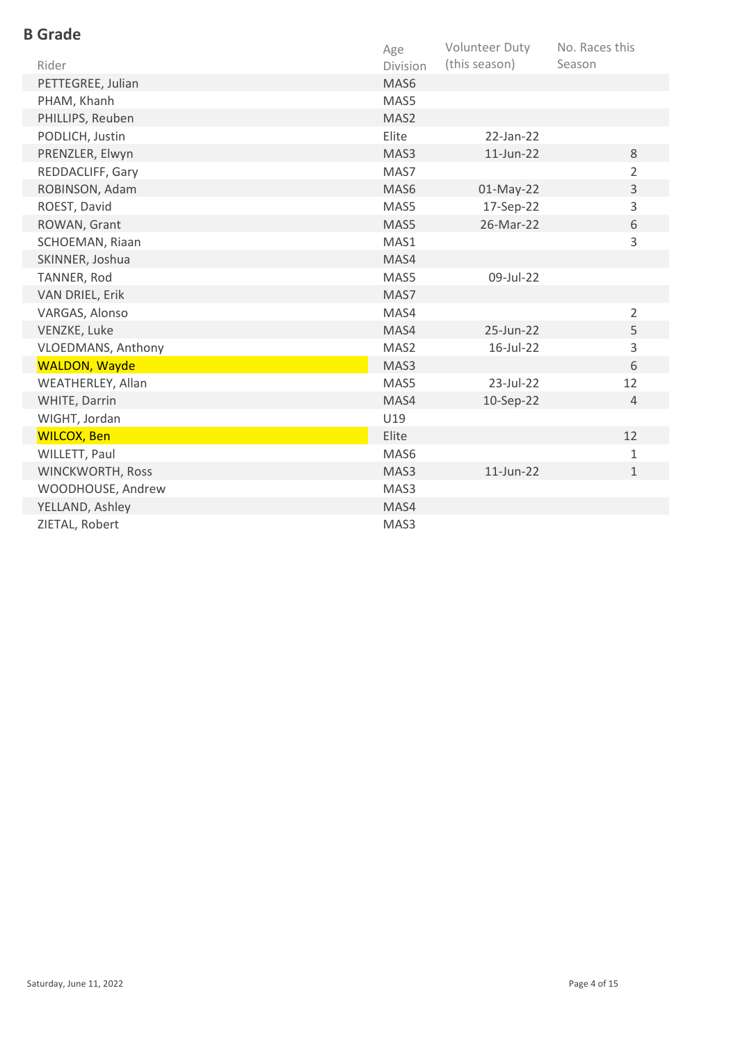| <b>B</b> Grade       |                  |                |                |
|----------------------|------------------|----------------|----------------|
|                      | Age              | Volunteer Duty | No. Races this |
| Rider                | Division         | (this season)  | Season         |
| PETTEGREE, Julian    | MAS <sub>6</sub> |                |                |
| PHAM, Khanh          | MAS5             |                |                |
| PHILLIPS, Reuben     | MAS2             |                |                |
| PODLICH, Justin      | Elite            | $22$ -Jan-22   |                |
| PRENZLER, Elwyn      | MAS3             | 11-Jun-22      | 8              |
| REDDACLIFF, Gary     | MAS7             |                | $\overline{2}$ |
| ROBINSON, Adam       | MAS6             | 01-May-22      | 3              |
| ROEST, David         | MAS5             | 17-Sep-22      | 3              |
| ROWAN, Grant         | MAS5             | 26-Mar-22      | 6              |
| SCHOEMAN, Riaan      | MAS1             |                | 3              |
| SKINNER, Joshua      | MAS4             |                |                |
| TANNER, Rod          | MAS5             | 09-Jul-22      |                |
| VAN DRIEL, Erik      | MAS7             |                |                |
| VARGAS, Alonso       | MAS4             |                | $\overline{2}$ |
| VENZKE, Luke         | MAS4             | 25-Jun-22      | 5              |
| VLOEDMANS, Anthony   | MAS2             | 16-Jul-22      | 3              |
| <b>WALDON, Wayde</b> | MAS3             |                | 6              |
| WEATHERLEY, Allan    | MAS5             | 23-Jul-22      | 12             |
| WHITE, Darrin        | MAS4             | 10-Sep-22      | $\overline{4}$ |
| WIGHT, Jordan        | U19              |                |                |
| <b>WILCOX, Ben</b>   | Elite            |                | 12             |
| WILLETT, Paul        | MAS6             |                | $\mathbf{1}$   |
| WINCKWORTH, Ross     | MAS3             | 11-Jun-22      | $\mathbf 1$    |
| WOODHOUSE, Andrew    | MAS3             |                |                |
| YELLAND, Ashley      | MAS4             |                |                |
| ZIETAL, Robert       | MAS3             |                |                |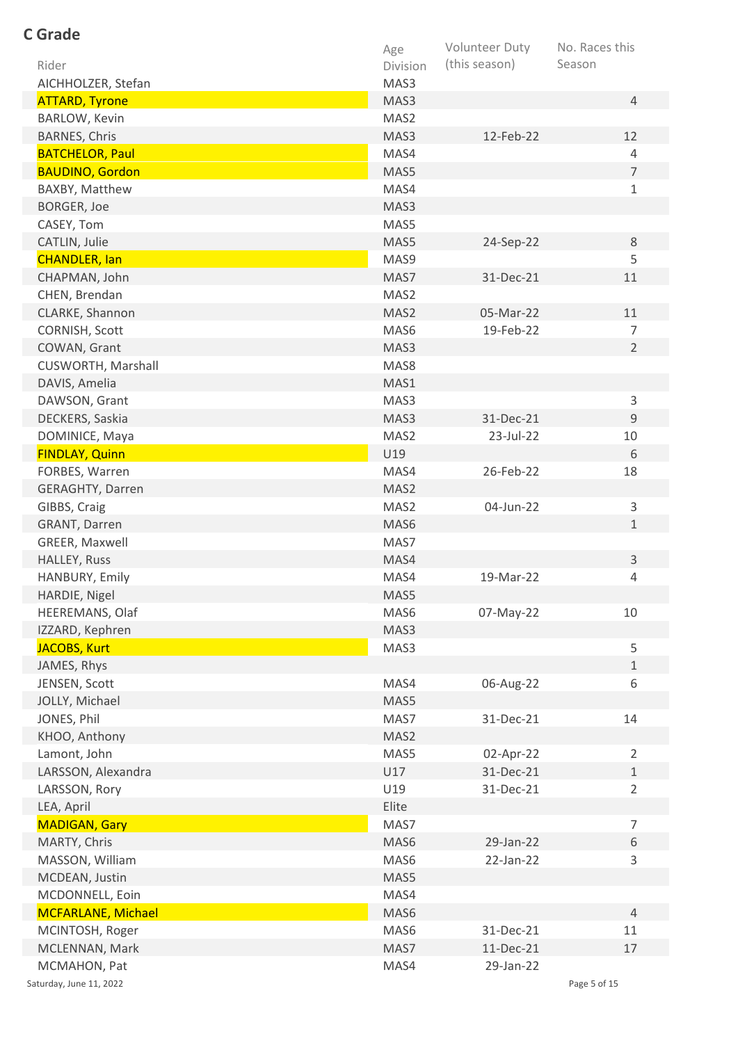| <b>C</b> Grade            |          |                |                |
|---------------------------|----------|----------------|----------------|
|                           | Age      | Volunteer Duty | No. Races this |
| Rider                     | Division | (this season)  | Season         |
| AICHHOLZER, Stefan        | MAS3     |                |                |
| <b>ATTARD, Tyrone</b>     | MAS3     |                | $\overline{4}$ |
| BARLOW, Kevin             | MAS2     |                |                |
| <b>BARNES, Chris</b>      | MAS3     | 12-Feb-22      | 12             |
| <b>BATCHELOR, Paul</b>    | MAS4     |                | $\overline{4}$ |
| <b>BAUDINO, Gordon</b>    | MAS5     |                | $\overline{7}$ |
| BAXBY, Matthew            | MAS4     |                | $\mathbf{1}$   |
| BORGER, Joe               | MAS3     |                |                |
| CASEY, Tom                | MAS5     |                |                |
| CATLIN, Julie             | MAS5     | 24-Sep-22      | 8              |
| <b>CHANDLER, lan</b>      | MAS9     |                | 5              |
| CHAPMAN, John             | MAS7     | 31-Dec-21      | 11             |
| CHEN, Brendan             | MAS2     |                |                |
| CLARKE, Shannon           | MAS2     | 05-Mar-22      | 11             |
| CORNISH, Scott            | MAS6     | 19-Feb-22      | 7              |
| COWAN, Grant              | MAS3     |                | $\overline{2}$ |
| CUSWORTH, Marshall        | MAS8     |                |                |
| DAVIS, Amelia             | MAS1     |                |                |
| DAWSON, Grant             | MAS3     |                | $\mathsf{3}$   |
| DECKERS, Saskia           | MAS3     | 31-Dec-21      | $\overline{9}$ |
| DOMINICE, Maya            | MAS2     | 23-Jul-22      | 10             |
| <b>FINDLAY, Quinn</b>     | U19      |                | 6              |
| FORBES, Warren            | MAS4     | 26-Feb-22      | 18             |
| <b>GERAGHTY, Darren</b>   | MAS2     |                |                |
| GIBBS, Craig              | MAS2     | 04-Jun-22      | $\mathsf{3}$   |
| GRANT, Darren             | MAS6     |                | $\mathbf{1}$   |
| GREER, Maxwell            | MAS7     |                |                |
| HALLEY, Russ              | MAS4     |                | $\mathsf{3}$   |
| HANBURY, Emily            | MAS4     | 19-Mar-22      | 4              |
| HARDIE, Nigel             | MAS5     |                |                |
| HEEREMANS, Olaf           | MAS6     | 07-May-22      | 10             |
| IZZARD, Kephren           | MAS3     |                |                |
| <b>JACOBS, Kurt</b>       | MAS3     |                | 5              |
| JAMES, Rhys               |          |                | $\mathbf{1}$   |
| JENSEN, Scott             | MAS4     | 06-Aug-22      | 6              |
| JOLLY, Michael            | MAS5     |                |                |
| JONES, Phil               | MAS7     | 31-Dec-21      | 14             |
| KHOO, Anthony             | MAS2     |                |                |
| Lamont, John              | MAS5     | 02-Apr-22      | 2              |
| LARSSON, Alexandra        | U17      | 31-Dec-21      | $\mathbf{1}$   |
| LARSSON, Rory             | U19      | 31-Dec-21      | $\overline{2}$ |
| LEA, April                | Elite    |                |                |
| <b>MADIGAN, Gary</b>      | MAS7     |                | $\overline{7}$ |
| MARTY, Chris              | MAS6     | 29-Jan-22      | 6              |
| MASSON, William           | MAS6     | 22-Jan-22      | 3              |
| MCDEAN, Justin            | MAS5     |                |                |
| MCDONNELL, Eoin           | MAS4     |                |                |
| <b>MCFARLANE, Michael</b> | MAS6     |                | $\overline{4}$ |
| MCINTOSH, Roger           | MAS6     | 31-Dec-21      | 11             |
| MCLENNAN, Mark            | MAS7     | 11-Dec-21      | 17             |
| MCMAHON, Pat              | MAS4     | 29-Jan-22      |                |
| Saturday, June 11, 2022   |          |                | Page 5 of 15   |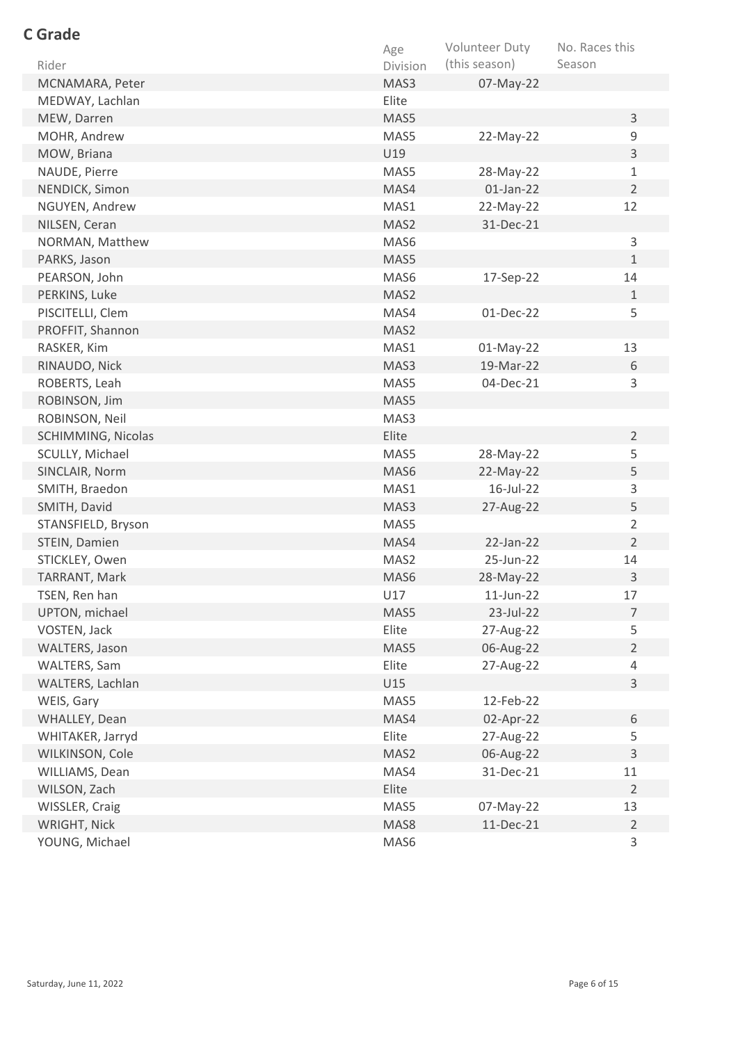| <b>C</b> Grade     |          |                |                |
|--------------------|----------|----------------|----------------|
|                    | Age      | Volunteer Duty | No. Races this |
| Rider              | Division | (this season)  | Season         |
| MCNAMARA, Peter    | MAS3     | 07-May-22      |                |
| MEDWAY, Lachlan    | Elite    |                |                |
| MEW, Darren        | MAS5     |                | $\mathsf{3}$   |
| MOHR, Andrew       | MAS5     | 22-May-22      | 9              |
| MOW, Briana        | U19      |                | $\mathsf{3}$   |
| NAUDE, Pierre      | MAS5     | 28-May-22      | $\mathbf 1$    |
| NENDICK, Simon     | MAS4     | $01$ -Jan-22   | $\overline{2}$ |
| NGUYEN, Andrew     | MAS1     | 22-May-22      | 12             |
| NILSEN, Ceran      | MAS2     | 31-Dec-21      |                |
| NORMAN, Matthew    | MAS6     |                | 3              |
| PARKS, Jason       | MAS5     |                | $\mathbf{1}$   |
| PEARSON, John      | MAS6     | 17-Sep-22      | 14             |
| PERKINS, Luke      | MAS2     |                | $\mathbf{1}$   |
| PISCITELLI, Clem   | MAS4     | 01-Dec-22      | 5              |
| PROFFIT, Shannon   | MAS2     |                |                |
| RASKER, Kim        | MAS1     | $01$ -May-22   | 13             |
| RINAUDO, Nick      | MAS3     | 19-Mar-22      | 6              |
| ROBERTS, Leah      | MAS5     | 04-Dec-21      | 3              |
| ROBINSON, Jim      | MAS5     |                |                |
| ROBINSON, Neil     | MAS3     |                |                |
| SCHIMMING, Nicolas | Elite    |                | $\overline{2}$ |
| SCULLY, Michael    | MAS5     | 28-May-22      | 5              |
| SINCLAIR, Norm     | MAS6     | 22-May-22      | 5              |
| SMITH, Braedon     | MAS1     | 16-Jul-22      | 3              |
| SMITH, David       | MAS3     | 27-Aug-22      | 5              |
| STANSFIELD, Bryson | MAS5     |                | $\overline{2}$ |
| STEIN, Damien      | MAS4     | $22$ -Jan-22   | $\overline{2}$ |
| STICKLEY, Owen     | MAS2     | 25-Jun-22      | 14             |
| TARRANT, Mark      | MAS6     | 28-May-22      | 3              |
| TSEN, Ren han      | U17      | 11-Jun-22      | 17             |
| UPTON, michael     | MAS5     | 23-Jul-22      | $\overline{7}$ |
| VOSTEN, Jack       | Elite    | 27-Aug-22      | 5              |
| WALTERS, Jason     | MAS5     | 06-Aug-22      | $\overline{2}$ |
| WALTERS, Sam       | Elite    | 27-Aug-22      | $\overline{4}$ |
| WALTERS, Lachlan   | U15      |                | $\overline{3}$ |
| WEIS, Gary         | MAS5     | 12-Feb-22      |                |
| WHALLEY, Dean      | MAS4     | 02-Apr-22      | 6              |
| WHITAKER, Jarryd   | Elite    | 27-Aug-22      | 5              |
| WILKINSON, Cole    | MAS2     | 06-Aug-22      | 3              |
| WILLIAMS, Dean     | MAS4     | 31-Dec-21      | 11             |
| WILSON, Zach       | Elite    |                | $\overline{2}$ |
| WISSLER, Craig     | MAS5     | 07-May-22      | 13             |
| WRIGHT, Nick       | MAS8     | 11-Dec-21      | $\overline{2}$ |
| YOUNG, Michael     | MAS6     |                | 3              |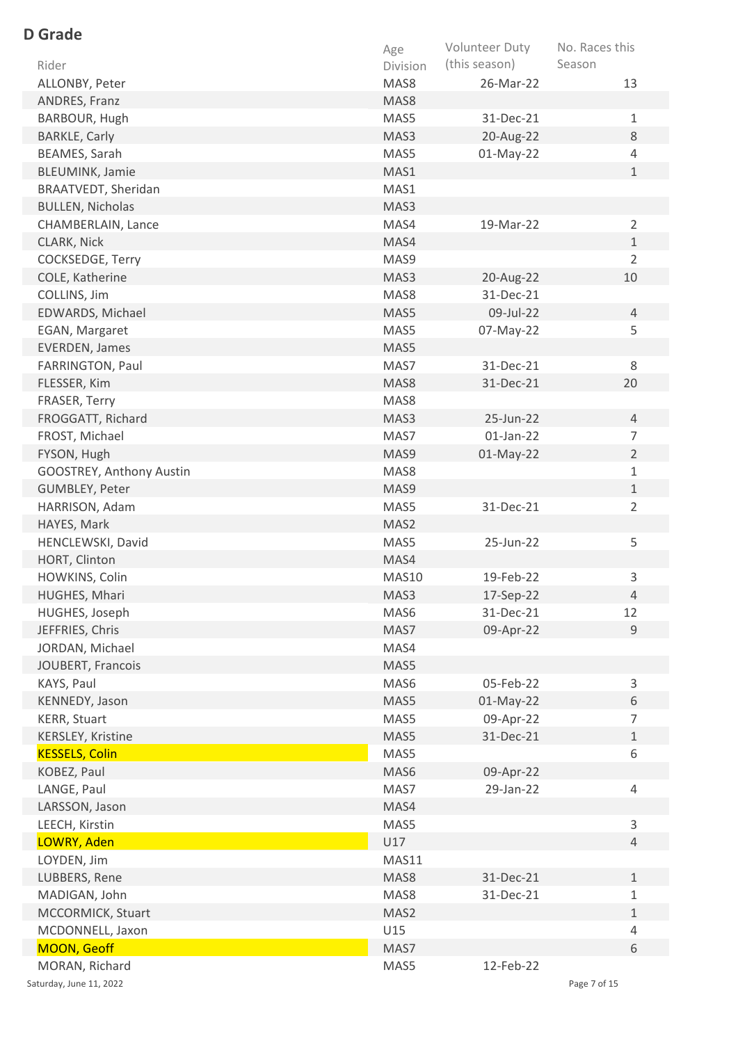| <b>D</b> Grade           |          |                |                |
|--------------------------|----------|----------------|----------------|
|                          | Age      | Volunteer Duty | No. Races this |
| Rider                    | Division | (this season)  | Season         |
| ALLONBY, Peter           | MAS8     | 26-Mar-22      | 13             |
| ANDRES, Franz            | MAS8     |                |                |
| BARBOUR, Hugh            | MAS5     | 31-Dec-21      | $\mathbf{1}$   |
| <b>BARKLE, Carly</b>     | MAS3     | 20-Aug-22      | 8              |
| BEAMES, Sarah            | MAS5     | $01$ -May-22   | $\overline{4}$ |
| <b>BLEUMINK, Jamie</b>   | MAS1     |                | $\mathbf{1}$   |
| BRAATVEDT, Sheridan      | MAS1     |                |                |
| <b>BULLEN, Nicholas</b>  | MAS3     |                |                |
| CHAMBERLAIN, Lance       | MAS4     | 19-Mar-22      | $\overline{2}$ |
| CLARK, Nick              | MAS4     |                | $\mathbf{1}$   |
| COCKSEDGE, Terry         | MAS9     |                | $\overline{2}$ |
| COLE, Katherine          | MAS3     | 20-Aug-22      | 10             |
| COLLINS, Jim             | MAS8     | 31-Dec-21      |                |
| EDWARDS, Michael         | MAS5     | 09-Jul-22      | 4              |
| EGAN, Margaret           | MAS5     | 07-May-22      | 5              |
| <b>EVERDEN, James</b>    | MAS5     |                |                |
| FARRINGTON, Paul         | MAS7     | 31-Dec-21      | 8              |
| FLESSER, Kim             | MAS8     | 31-Dec-21      | 20             |
| FRASER, Terry            | MAS8     |                |                |
| FROGGATT, Richard        | MAS3     | 25-Jun-22      | $\overline{4}$ |
| FROST, Michael           | MAS7     | $01$ -Jan-22   | $\overline{7}$ |
| FYSON, Hugh              | MAS9     | $01$ -May-22   | $\overline{2}$ |
| GOOSTREY, Anthony Austin | MAS8     |                | $\mathbf{1}$   |
| GUMBLEY, Peter           | MAS9     |                | $\mathbf{1}$   |
| HARRISON, Adam           | MAS5     | 31-Dec-21      | $\overline{2}$ |
| HAYES, Mark              | MAS2     |                |                |
| HENCLEWSKI, David        | MAS5     | 25-Jun-22      | 5              |
| HORT, Clinton            | MAS4     |                |                |
| HOWKINS, Colin           | MAS10    | 19-Feb-22      | 3              |
| HUGHES, Mhari            | MAS3     | 17-Sep-22      | $\overline{4}$ |
| HUGHES, Joseph           | MAS6     | 31-Dec-21      | 12             |
| JEFFRIES, Chris          | MAS7     | 09-Apr-22      | 9              |
| JORDAN, Michael          | MAS4     |                |                |
| JOUBERT, Francois        | MAS5     |                |                |
| KAYS, Paul               | MAS6     | 05-Feb-22      | $\mathsf{3}$   |
| KENNEDY, Jason           | MAS5     | 01-May-22      | 6              |
| <b>KERR, Stuart</b>      | MAS5     | 09-Apr-22      | $\overline{7}$ |
| KERSLEY, Kristine        | MAS5     | 31-Dec-21      | $\mathbf{1}$   |
| <b>KESSELS, Colin</b>    | MAS5     |                | 6              |
| KOBEZ, Paul              | MAS6     | 09-Apr-22      |                |
| LANGE, Paul              | MAS7     | 29-Jan-22      | 4              |
| LARSSON, Jason           | MAS4     |                |                |
| LEECH, Kirstin           | MAS5     |                | 3              |
| LOWRY, Aden              | U17      |                | $\overline{4}$ |
| LOYDEN, Jim              | MAS11    |                |                |
| LUBBERS, Rene            | MAS8     | 31-Dec-21      | $\mathbf{1}$   |
| MADIGAN, John            | MAS8     | 31-Dec-21      | $\mathbf{1}$   |
| MCCORMICK, Stuart        | MAS2     |                | $\mathbf{1}$   |
| MCDONNELL, Jaxon         | U15      |                | 4              |
| <b>MOON, Geoff</b>       | MAS7     |                | 6              |
| MORAN, Richard           | MAS5     | 12-Feb-22      |                |
| Saturday, June 11, 2022  |          |                | Page 7 of 15   |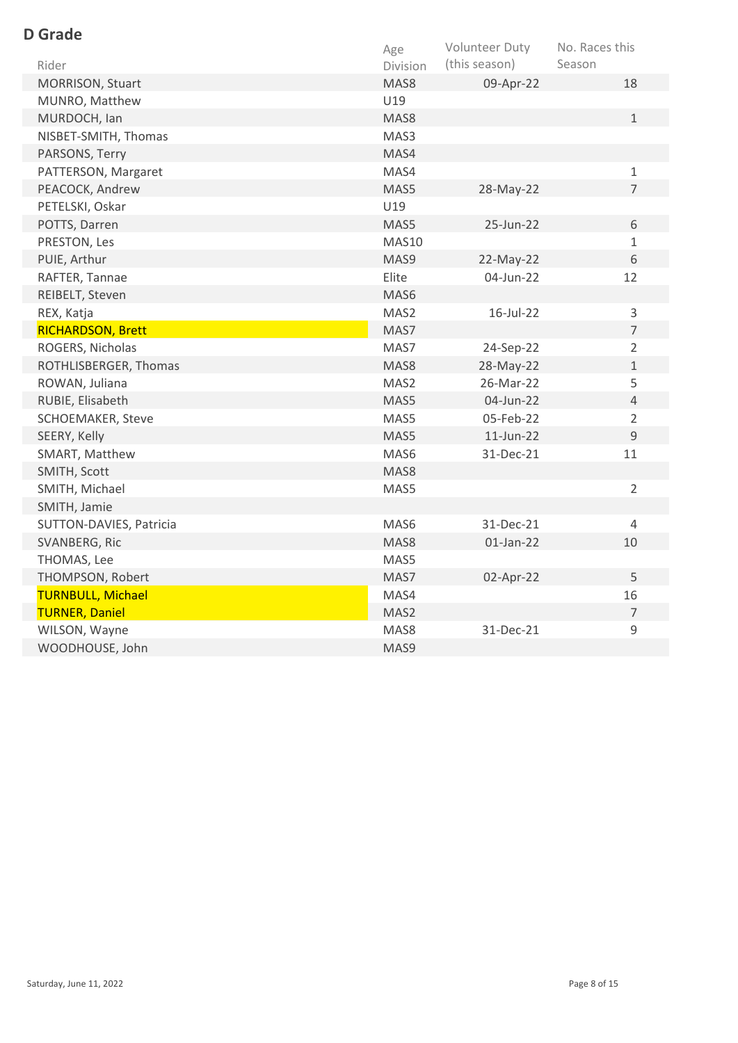| <b>D</b> Grade                 |                  |                                 |                                |
|--------------------------------|------------------|---------------------------------|--------------------------------|
| Rider                          | Age              | Volunteer Duty<br>(this season) | No. Races this<br>Season       |
|                                | Division<br>MAS8 |                                 | 18                             |
| MORRISON, Stuart               | U19              | 09-Apr-22                       |                                |
| MUNRO, Matthew<br>MURDOCH, Ian | MAS8             |                                 | $\mathbf{1}$                   |
|                                | MAS3             |                                 |                                |
| NISBET-SMITH, Thomas           |                  |                                 |                                |
| PARSONS, Terry                 | MAS4             |                                 |                                |
| PATTERSON, Margaret            | MAS4             |                                 | $\mathbf{1}$<br>$\overline{7}$ |
| PEACOCK, Andrew                | MAS5             | 28-May-22                       |                                |
| PETELSKI, Oskar                | U19              |                                 |                                |
| POTTS, Darren                  | MAS5             | 25-Jun-22                       | 6                              |
| PRESTON, Les                   | <b>MAS10</b>     |                                 | $\mathbf{1}$                   |
| PUIE, Arthur                   | MAS9             | 22-May-22                       | 6                              |
| RAFTER, Tannae                 | Elite            | 04-Jun-22                       | 12                             |
| REIBELT, Steven                | MAS6             |                                 |                                |
| REX, Katja                     | MAS2             | 16-Jul-22                       | 3                              |
| <b>RICHARDSON, Brett</b>       | MAS7             |                                 | $\overline{7}$                 |
| ROGERS, Nicholas               | MAS7             | 24-Sep-22                       | $\overline{2}$                 |
| ROTHLISBERGER, Thomas          | MAS8             | 28-May-22                       | $1\,$                          |
| ROWAN, Juliana                 | MAS2             | 26-Mar-22                       | 5                              |
| RUBIE, Elisabeth               | MAS5             | 04-Jun-22                       | $\overline{4}$                 |
| <b>SCHOEMAKER, Steve</b>       | MAS5             | 05-Feb-22                       | $\overline{2}$                 |
| SEERY, Kelly                   | MAS5             | $11$ -Jun-22                    | 9                              |
| SMART, Matthew                 | MAS6             | 31-Dec-21                       | 11                             |
| SMITH, Scott                   | MAS8             |                                 |                                |
| SMITH, Michael                 | MAS5             |                                 | $\overline{2}$                 |
| SMITH, Jamie                   |                  |                                 |                                |
| SUTTON-DAVIES, Patricia        | MAS6             | 31-Dec-21                       | 4                              |
| SVANBERG, Ric                  | MAS8             | $01$ -Jan-22                    | 10                             |
| THOMAS, Lee                    | MAS5             |                                 |                                |
| THOMPSON, Robert               | MAS7             | 02-Apr-22                       | 5                              |
| <b>TURNBULL, Michael</b>       | MAS4             |                                 | 16                             |
| <b>TURNER, Daniel</b>          | MAS2             |                                 | $\overline{7}$                 |
| WILSON, Wayne                  | MAS8             | 31-Dec-21                       | 9                              |
| WOODHOUSE, John                | MAS9             |                                 |                                |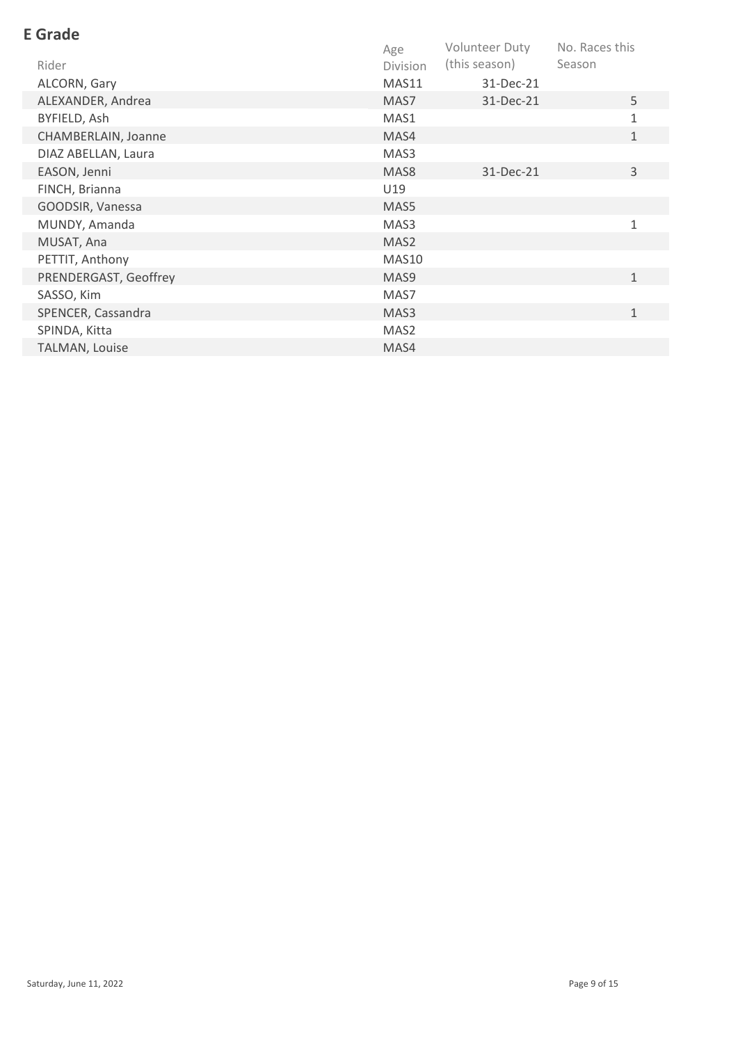| <b>E</b> Grade        |                  |                |                |
|-----------------------|------------------|----------------|----------------|
|                       | Age              | Volunteer Duty | No. Races this |
| Rider                 | <b>Division</b>  | (this season)  | Season         |
| ALCORN, Gary          | MAS11            | 31-Dec-21      |                |
| ALEXANDER, Andrea     | MAS7             | 31-Dec-21      | 5              |
| BYFIELD, Ash          | MAS1             |                | 1              |
| CHAMBERLAIN, Joanne   | MAS4             |                | $\mathbf{1}$   |
| DIAZ ABELLAN, Laura   | MAS3             |                |                |
| EASON, Jenni          | MAS <sub>8</sub> | 31-Dec-21      | 3              |
| FINCH, Brianna        | U19              |                |                |
| GOODSIR, Vanessa      | MAS5             |                |                |
| MUNDY, Amanda         | MAS3             |                | $\mathbf{1}$   |
| MUSAT, Ana            | MAS2             |                |                |
| PETTIT, Anthony       | MAS10            |                |                |
| PRENDERGAST, Geoffrey | MAS <sub>9</sub> |                | $\mathbf{1}$   |
| SASSO, Kim            | MAS7             |                |                |
| SPENCER, Cassandra    | MAS3             |                | $\mathbf{1}$   |
| SPINDA, Kitta         | MAS2             |                |                |
| TALMAN, Louise        | MAS4             |                |                |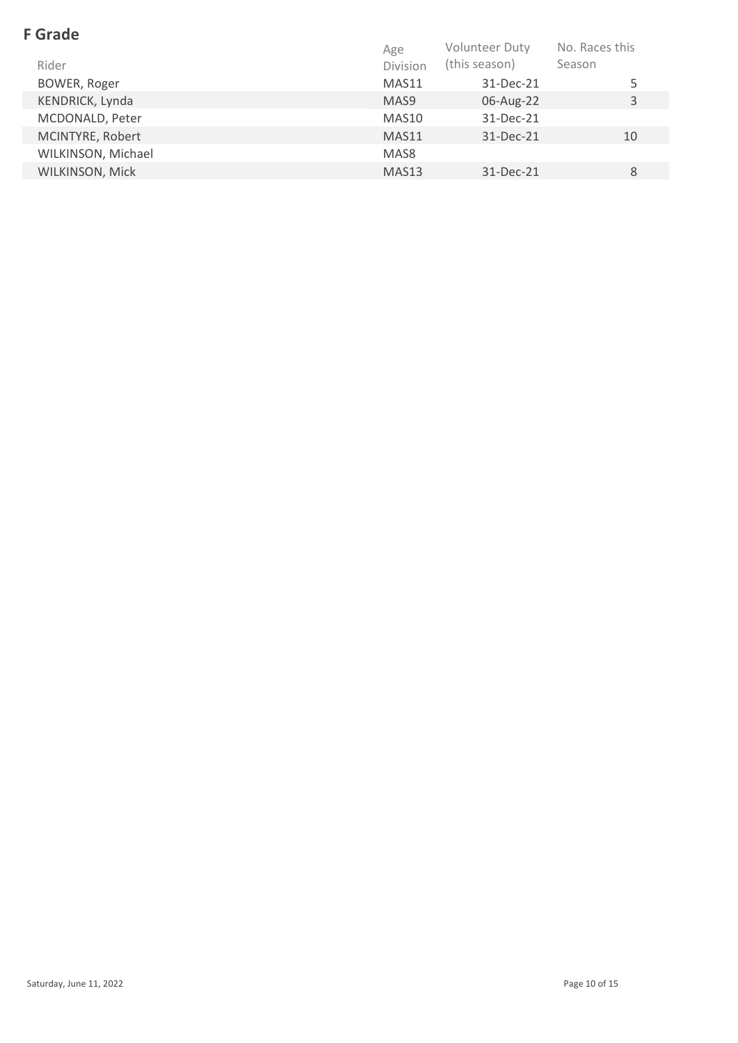| <b>F</b> Grade     |                   |                       |                |
|--------------------|-------------------|-----------------------|----------------|
|                    | Age               | <b>Volunteer Duty</b> | No. Races this |
| Rider              | Division          | (this season)         | Season         |
| BOWER, Roger       | MAS11             | 31-Dec-21             | 5              |
| KENDRICK, Lynda    | MAS <sub>9</sub>  | 06-Aug-22             | 3              |
| MCDONALD, Peter    | MAS10             | 31-Dec-21             |                |
| MCINTYRE, Robert   | MAS11             | 31-Dec-21             | 10             |
| WILKINSON, Michael | MAS8              |                       |                |
| WILKINSON, Mick    | MAS <sub>13</sub> | 31-Dec-21             | 8              |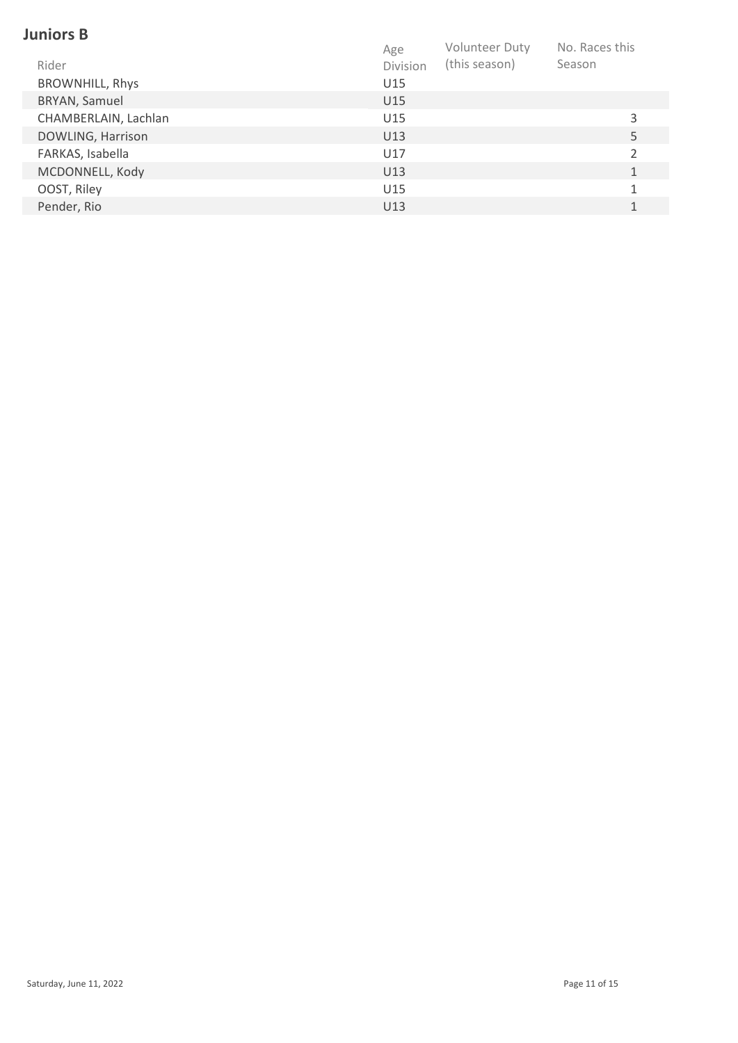#### **Juniors B**

|                        | Age      | Volunteer Duty | No. Races this |  |
|------------------------|----------|----------------|----------------|--|
| Rider                  | Division | (this season)  | Season         |  |
| <b>BROWNHILL, Rhys</b> | U15      |                |                |  |
| BRYAN, Samuel          | U15      |                |                |  |
| CHAMBERLAIN, Lachlan   | U15      |                | 3              |  |
| DOWLING, Harrison      | U13      |                | 5              |  |
| FARKAS, Isabella       | U17      |                |                |  |
| MCDONNELL, Kody        | U13      |                |                |  |
| OOST, Riley            | U15      |                |                |  |
| Pender, Rio            | U13      |                |                |  |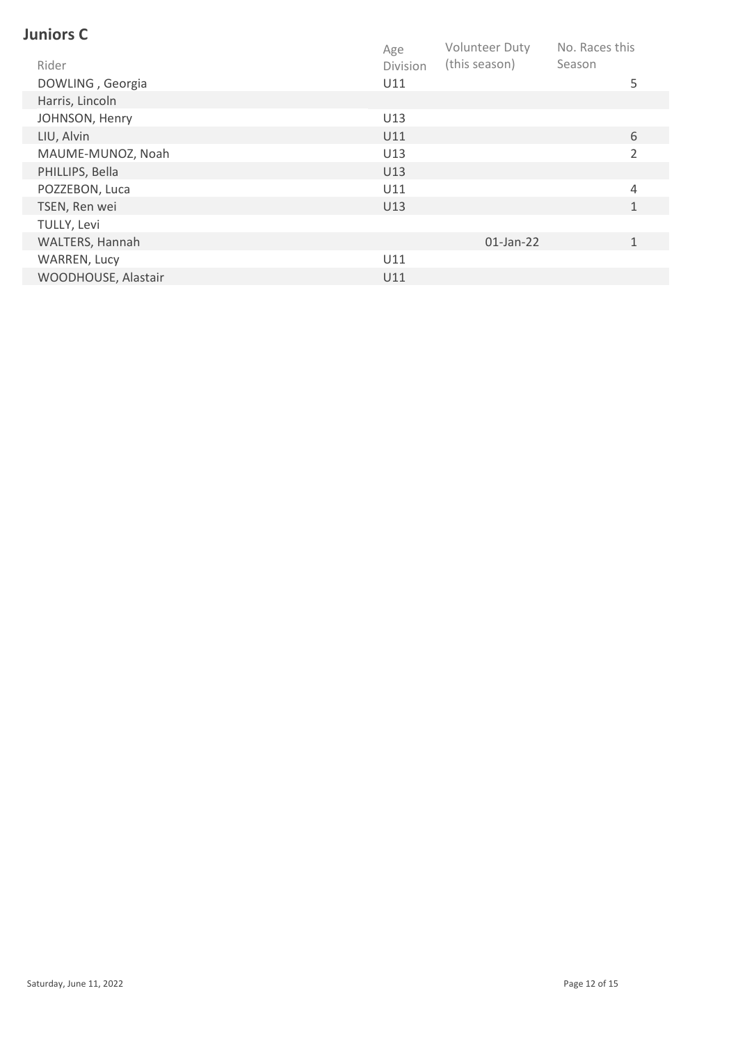## **Juniors C**

|                     | Age      | <b>Volunteer Duty</b> | No. Races this |  |
|---------------------|----------|-----------------------|----------------|--|
| Rider               | Division | (this season)         | Season         |  |
| DOWLING, Georgia    | U11      |                       | 5              |  |
| Harris, Lincoln     |          |                       |                |  |
| JOHNSON, Henry      | U13      |                       |                |  |
| LIU, Alvin          | U11      |                       | 6              |  |
| MAUME-MUNOZ, Noah   | U13      |                       | $\overline{2}$ |  |
| PHILLIPS, Bella     | U13      |                       |                |  |
| POZZEBON, Luca      | U11      |                       | 4              |  |
| TSEN, Ren wei       | U13      |                       | $\mathbf{1}$   |  |
| TULLY, Levi         |          |                       |                |  |
| WALTERS, Hannah     |          | $01$ -Jan-22          | $\mathbf 1$    |  |
| WARREN, Lucy        | U11      |                       |                |  |
| WOODHOUSE, Alastair | U11      |                       |                |  |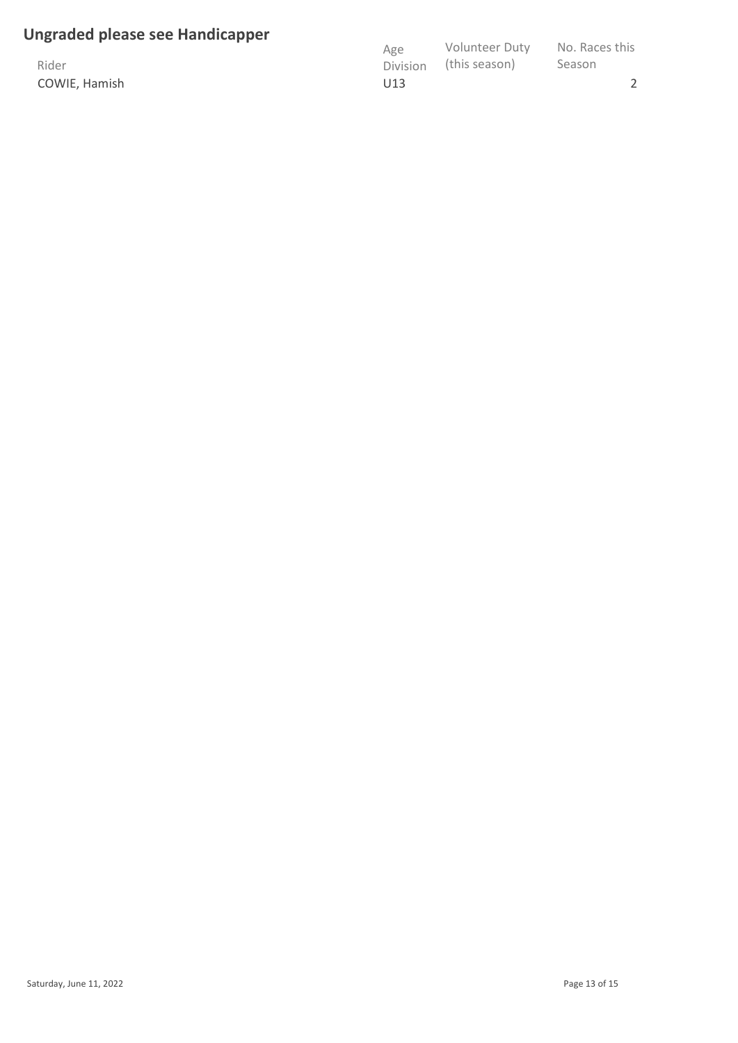#### **Ungraded please see Handicapper**

Rider COWIE, Hamish

| Age      | <b>Volunteer Duty</b> | No. Races this |
|----------|-----------------------|----------------|
| Division | (this season)         | Season         |
| U13      |                       |                |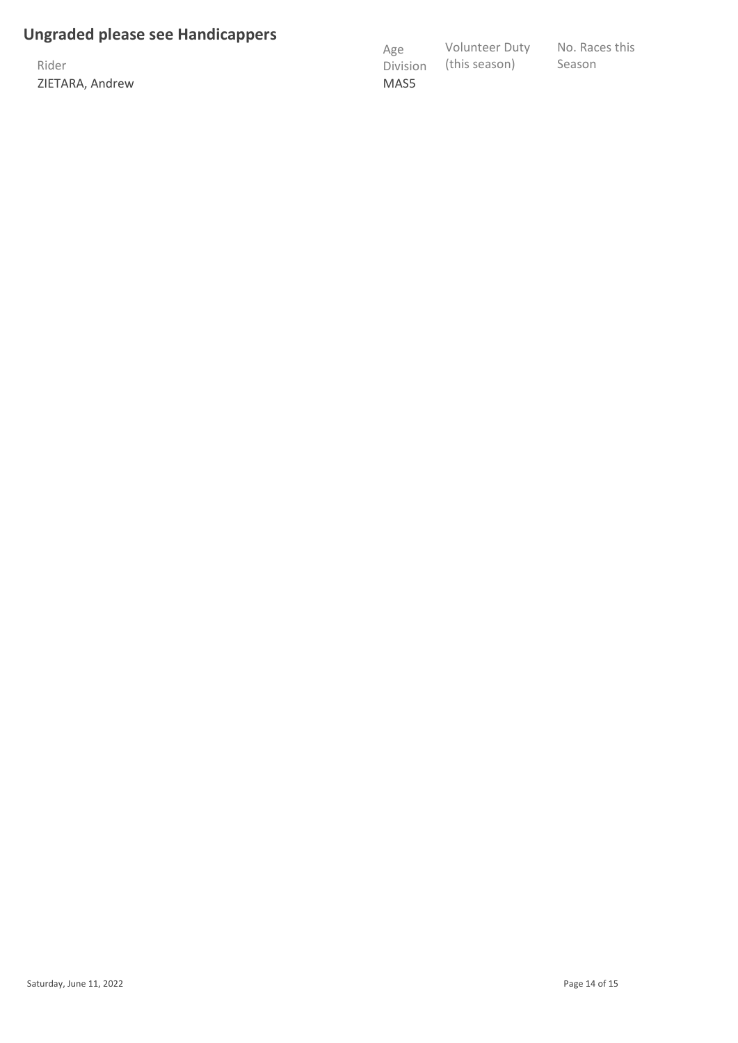#### **Ungraded please see Handicappers**

Rider ZIETARA, Andrew

| Age             | <b>Volunteer Duty</b> | No. Races this |
|-----------------|-----------------------|----------------|
| <b>Division</b> | (this season)         | Season         |
| MAS5            |                       |                |